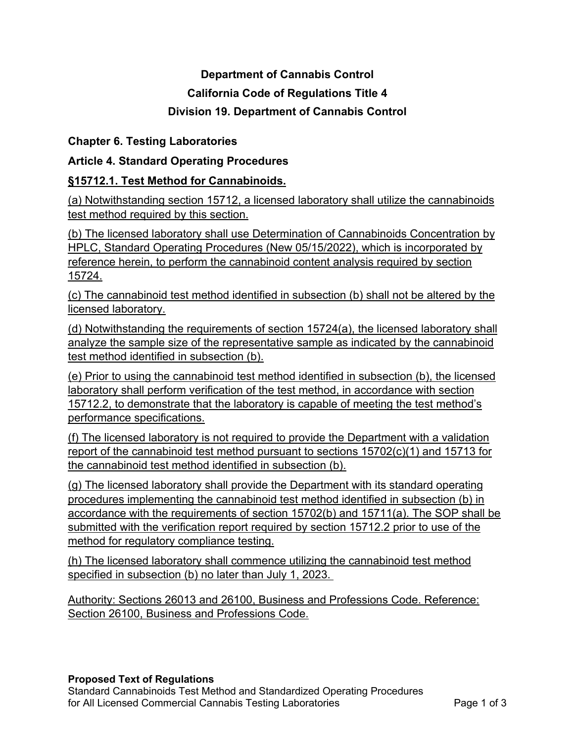# **Department of Cannabis Control California Code of Regulations Title 4 Division 19. Department of Cannabis Control**

# **Chapter 6. Testing Laboratories**

# **Article 4. Standard Operating Procedures**

# **§15712.1. Test Method for Cannabinoids.**

(a) Notwithstanding section 15712, a licensed laboratory shall utilize the cannabinoids test method required by this section.

(b) The licensed laboratory shall use Determination of Cannabinoids Concentration by HPLC, Standard Operating Procedures (New 05/15/2022), which is incorporated by reference herein, to perform the cannabinoid content analysis required by section 15724.

(c) The cannabinoid test method identified in subsection (b) shall not be altered by the licensed laboratory.

(d) Notwithstanding the requirements of section 15724(a), the licensed laboratory shall analyze the sample size of the representative sample as indicated by the cannabinoid test method identified in subsection (b).

(e) Prior to using the cannabinoid test method identified in subsection (b), the licensed laboratory shall perform verification of the test method, in accordance with section 15712.2, to demonstrate that the laboratory is capable of meeting the test method's performance specifications.

(f) The licensed laboratory is not required to provide the Department with a validation report of the cannabinoid test method pursuant to sections 15702(c)(1) and 15713 for the cannabinoid test method identified in subsection (b).

(g) The licensed laboratory shall provide the Department with its standard operating procedures implementing the cannabinoid test method identified in subsection (b) in accordance with the requirements of section 15702(b) and 15711(a). The SOP shall be submitted with the verification report required by section 15712.2 prior to use of the method for regulatory compliance testing.

(h) The licensed laboratory shall commence utilizing the cannabinoid test method specified in subsection (b) no later than July 1, 2023.

Authority: Sections 26013 and 26100, Business and Professions Code. Reference: Section 26100, Business and Professions Code.

# **Proposed Text of Regulations**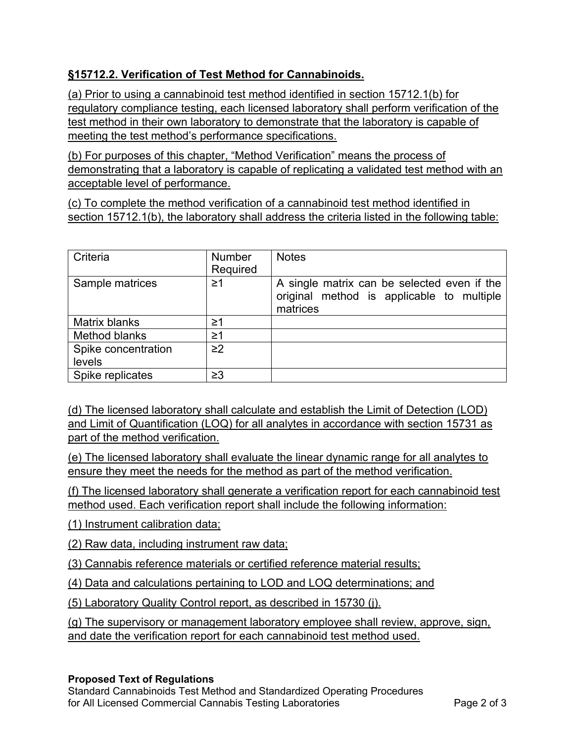# **§15712.2. Verification of Test Method for Cannabinoids.**

(a) Prior to using a cannabinoid test method identified in section 15712.1(b) for regulatory compliance testing, each licensed laboratory shall perform verification of the test method in their own laboratory to demonstrate that the laboratory is capable of meeting the test method's performance specifications.

(b) For purposes of this chapter, "Method Verification" means the process of demonstrating that a laboratory is capable of replicating a validated test method with an acceptable level of performance.

(c) To complete the method verification of a cannabinoid test method identified in section 15712.1(b), the laboratory shall address the criteria listed in the following table:

| Criteria            | <b>Number</b><br>Required | <b>Notes</b>                                                                                         |
|---------------------|---------------------------|------------------------------------------------------------------------------------------------------|
| Sample matrices     | ≥1                        | A single matrix can be selected even if the<br>original method is applicable to multiple<br>matrices |
| Matrix blanks       | ≥1                        |                                                                                                      |
| Method blanks       | $\geq$ 1                  |                                                                                                      |
| Spike concentration | $\geq$ 2                  |                                                                                                      |
| levels              |                           |                                                                                                      |
| Spike replicates    | $\geq$ 3                  |                                                                                                      |

(d) The licensed laboratory shall calculate and establish the Limit of Detection (LOD) and Limit of Quantification (LOQ) for all analytes in accordance with section 15731 as part of the method verification.

(e) The licensed laboratory shall evaluate the linear dynamic range for all analytes to ensure they meet the needs for the method as part of the method verification.

(f) The licensed laboratory shall generate a verification report for each cannabinoid test method used. Each verification report shall include the following information:

(1) Instrument calibration data;

(2) Raw data, including instrument raw data ;

(3) Cannabis reference materials or certified reference material results;

(4) Data and calculations pertaining to LOD and LOQ determinations; and

(5) Laboratory Quality Control report, as described in 15730 (j).

(g) The supervisory or management laboratory employee shall review, approve, sign, and date the verification report for each cannabinoid test method used .

# **Proposed Text of Regulations**

 Standard Cannabinoids Test Method and Standardized Operating Procedures for All Licensed Commercial Cannabis Testing Laboratories **Page 2 of 3**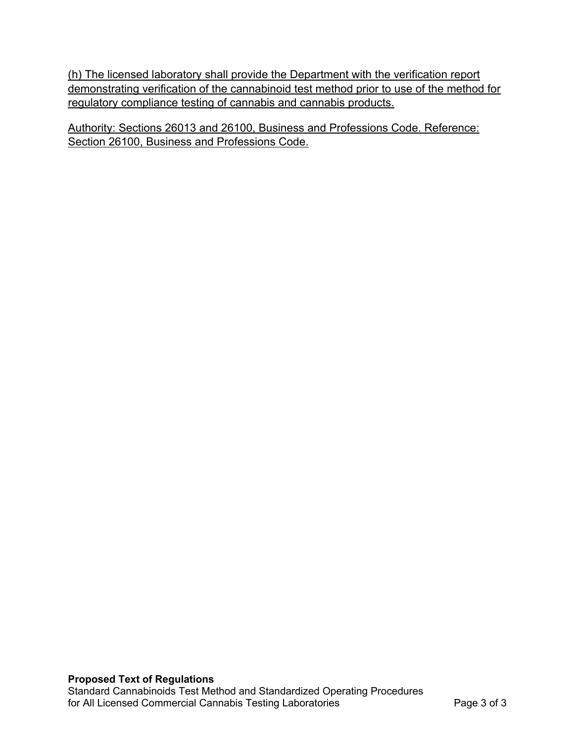(h) The licensed laboratory shall provide the Department with the verification report demonstrating verification of the cannabinoid test method prior to use of the method for regulatory compliance testing of cannabis and cannabis products.

Authority: Sections 26013 and 26100, Business and Professions Code. Reference: Section 26100, Business and Professions Code.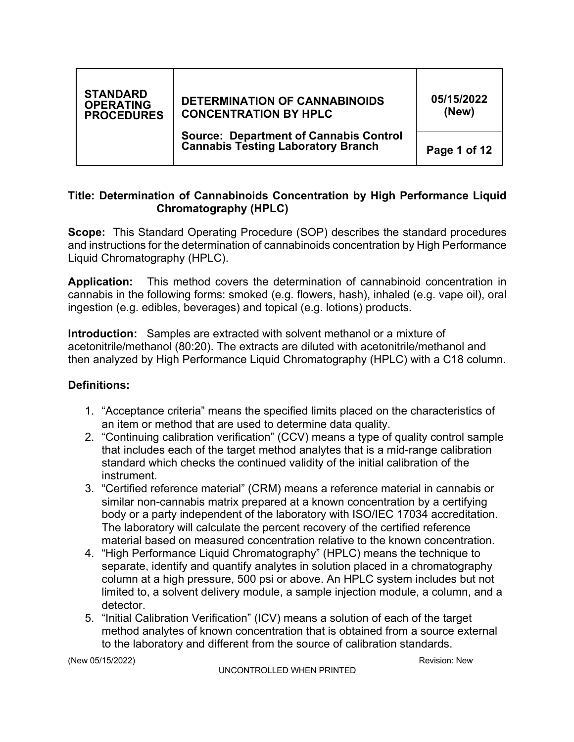| <b>STANDARD</b><br><b>OPERATING</b><br><b>PROCEDURES</b> | <b>DETERMINATION OF CANNABINOIDS</b><br><b>CONCENTRATION BY HPLC</b>                       | 05/15/2022<br>(New) |  |
|----------------------------------------------------------|--------------------------------------------------------------------------------------------|---------------------|--|
|                                                          | <b>Source: Department of Cannabis Control</b><br><b>Cannabis Testing Laboratory Branch</b> | Page 1 of 12        |  |

# **Title: Determination of Cannabinoids Concentration by High Performance Liquid Chromatography (HPLC)**

 **Scope:** This Standard Operating Procedure (SOP) describes the standard procedures and instructions for the determination of cannabinoids concentration by High Performance Liquid Chromatography (HPLC).

 **Application:** This method covers the determination of cannabinoid concentration in cannabis in the following forms: smoked (e.g. flowers, hash), inhaled (e.g. vape oil), oral ingestion (e.g. edibles, beverages) and topical (e.g. lotions) products.

 **Introduction:** Samples are extracted with solvent methanol or a mixture of acetonitrile/methanol (80:20). The extracts are diluted with acetonitrile/methanol and then analyzed by High Performance Liquid Chromatography (HPLC) with a C18 column.

# **Definitions:**

- 1. "Acceptance criteria" means the specified limits placed on the characteristics of an item or method that are used to determine data quality.
- 2. "Continuing calibration verification" (CCV) means a type of quality control sample that includes each of the target method analytes that is a mid-range calibration standard which checks the continued validity of the initial calibration of the instrument.
- instrument. 3. "Certified reference material" (CRM) means a reference material in cannabis or similar non-cannabis matrix prepared at a known concentration by a certifying body or a party independent of the laboratory with ISO/IEC 17034 accreditation. The laboratory will calculate the percent recovery of the certified reference material based on measured concentration relative to the known concentration.
- 4. "High Performance Liquid Chromatography" (HPLC) means the technique to separate, identify and quantify analytes in solution placed in a chromatography column at a high pressure, 500 psi or above. An HPLC system includes but not limited to, a solvent delivery module, a sample injection module, a column, and a detector. detector. 5. "Initial Calibration Verification" (ICV) means a solution of each of the target
- method analytes of known concentration that is obtained from a source external to the laboratory and different from the source of calibration standards.

(New 05/15/2022) Revision: New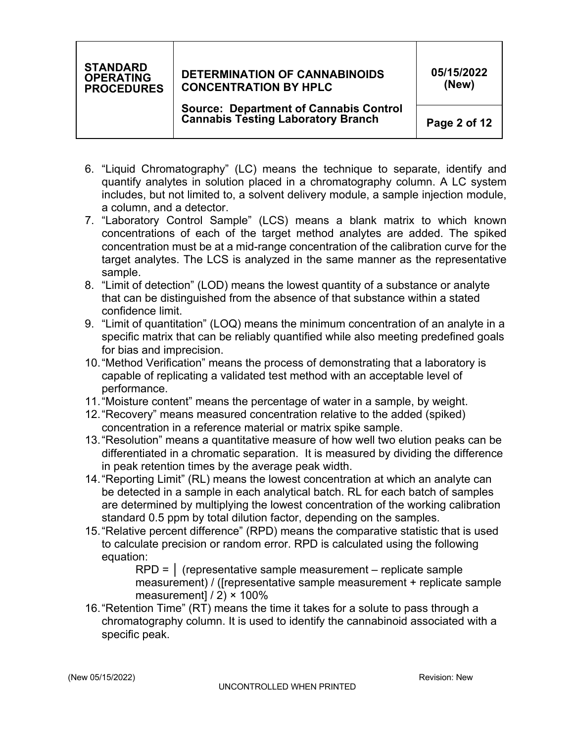# **DETERMINATION OF CANNABINOIDS CONCENTRATION BY HPLC**

**05/15/2022 (New)** 

 **Source: Department of Cannabis Control Cannabis Testing Laboratory Branch** 

**Page 2 of 12** 

- 6. "Liquid Chromatography" (LC) means the technique to separate, identify and quantify analytes in solution placed in a chromatography column. A LC system includes, but not limited to, a solvent delivery module, a sample injection module, a column, and a detector.
- 7. "Laboratory Control Sample" (LCS) means a blank matrix to which known concentrations of each of the target method analytes are added. The spiked concentration must be at a mid-range concentration of the calibration curve for the target analytes. The LCS is analyzed in the same manner as the representative sample.
- 8. "Limit of detection" (LOD) means the lowest quantity of a substance or analyte that can be distinguished from the absence of that substance within a stated confidence limit.
- 9. "Limit of quantitation" (LOQ) means the minimum concentration of an analyte in a specific matrix that can be reliably quantified while also meeting predefined goals for bias and imprecision.
- 10."Method Verification" means the process of demonstrating that a laboratory is capable of replicating a validated test method with an acceptable level of performance.
- 11."Moisture content" means the percentage of water in a sample, by weight.
- 12."Recovery" means measured concentration relative to the added (spiked) concentration in a reference material or matrix spike sample.
- 13."Resolution" means a quantitative measure of how well two elution peaks can be differentiated in a chromatic separation. It is measured by dividing the difference in peak retention times by the average peak width.
- 14."Reporting Limit" (RL) means the lowest concentration at which an analyte can be detected in a sample in each analytical batch. RL for each batch of samples are determined by multiplying the lowest concentration of the working calibration standard 0.5 ppm by total dilution factor, depending on the samples.
- 15."Relative percent difference" (RPD) means the comparative statistic that is used to calculate precision or random error. RPD is calculated using the following equation:
	- $RPD = |$  (representative sample measurement replicate sample measurement) / ([representative sample measurement + replicate sample measurement]  $/ 2$ )  $\times$  100%
- 16."Retention Time" (RT) means the time it takes for a solute to pass through a chromatography column. It is used to identify the cannabinoid associated with a specific peak.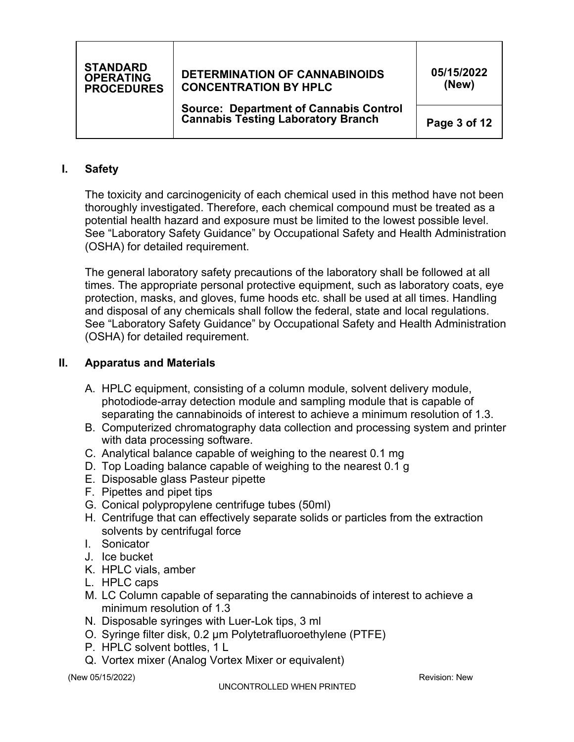# **DETERMINATION OF CANNABINOIDS CONCENTRATION BY HPLC**

**05/15/2022 (New)** 

 **Source: Department of Cannabis Control Cannabis Testing Laboratory Branch** 

**Page 3 of 12** 

# **I. Safety**

 The toxicity and carcinogenicity of each chemical used in this method have not been thoroughly investigated. Therefore, each chemical compound must be treated as a potential health hazard and exposure must be limited to the lowest possible level. See "Laboratory Safety Guidance" by Occupational Safety and Health Administration (OSHA) for detailed requirement.

 The general laboratory safety precautions of the laboratory shall be followed at all times. The appropriate personal protective equipment, such as laboratory coats, eye protection, masks, and gloves, fume hoods etc. shall be used at all times. Handling and disposal of any chemicals shall follow the federal, state and local regulations. See "Laboratory Safety Guidance" by Occupational Safety and Health Administration (OSHA) for detailed requirement.

## **II. Apparatus and Materials**

- A. HPLC equipment, consisting of a column module, solvent delivery module, photodiode-array detection module and sampling module that is capable of separating the cannabinoids of interest to achieve a minimum resolution of 1.3 .
- B. Computerized chromatography data collection and processing system and printer with data processing software.
- C. Analytical balance capable of weighing to the nearest 0.1 mg
- D. Top Loading balance capable of weighing to the nearest 0.1 g
- E. Disposable glass Pasteur pipette
- F. Pipettes and pipet tips
- G. Conical polypropylene centrifuge tubes (50ml)
- H. Centrifuge that can effectively separate solids or particles from the extraction solvents by centrifugal force
- I. Sonicator
- J. Ice bucket
- K. HPLC vials, amber
- L. HPLC caps
- M. LC Column capable of separating the cannabinoids of interest to achieve a minimum resolution of 1.3
- N. Disposable syringes with Luer-Lok tips, 3 ml
- O. Syringe filter disk, 0.2 µm Polytetrafluoroethylene (PTFE)
- P. HPLC solvent bottles, 1 L
- Q. Vortex mixer (Analog Vortex Mixer or equivalent)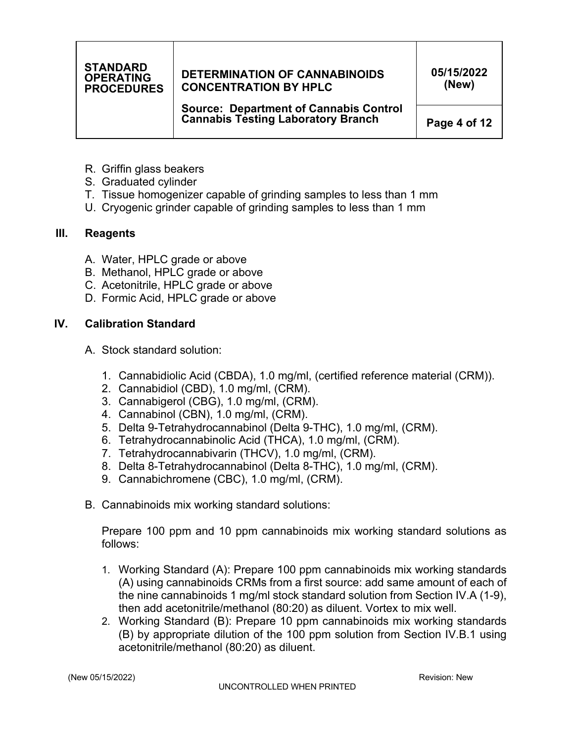# **DETERMINATION OF CANNABINOIDS CONCENTRATION BY HPLC**

**05/15/2022 (New)** 

 **Source: Department of Cannabis Control Cannabis Testing Laboratory Branch** 

**Page 4 of 12** 

- R. Griffin glass beakers
- S. Graduated cylinder
- T. Tissue homogenizer capable of grinding samples to less than 1 mm
- U. Cryogenic grinder capable of grinding samples to less than 1 mm

## **III. Reagents**

- A. Water, HPLC grade or above
- B. Methanol, HPLC grade or above
- C. Acetonitrile, HPLC grade or above
- D. Formic Acid, HPLC grade or above

# **IV. Calibration Standard**

- A. Stock standard solution:
	- 1. Cannabidiolic Acid (CBDA), 1.0 mg/ml, (certified reference material (CRM)).
	- 2. Cannabidiol (CBD), 1.0 mg/ml, (CRM).
	- 3. Cannabigerol (CBG), 1.0 mg/ml, (CRM).
	- 4. Cannabinol (CBN), 1.0 mg/ml, (CRM).
	- 5. Delta 9-Tetrahydrocannabinol (Delta 9-THC), 1.0 mg/ml, (CRM).
	- 6. Tetrahydrocannabinolic Acid (THCA), 1.0 mg/ml, (CRM).
	- 7. Tetrahydrocannabivarin (THCV), 1.0 mg/ml, (CRM).
	- 8. Delta 8-Tetrahydrocannabinol (Delta 8-THC), 1.0 mg/ml, (CRM).
	- 9. Cannabichromene (CBC), 1.0 mg/ml, (CRM).
- B. Cannabinoids mix working standard solutions:

Prepare 100 ppm and 10 ppm cannabinoids mix working standard solutions as follows:

- 1. Working Standard (A): Prepare 100 ppm cannabinoids mix working standards (A) using cannabinoids CRMs from a first source: add same amount of each of the nine cannabinoids 1 mg/ml stock standard solution from Section IV.A (1-9), then add acetonitrile/methanol (80:20) as diluent. Vortex to mix well.
- 2. Working Standard (B): Prepare 10 ppm cannabinoids mix working standards (B) by appropriate dilution of the 100 ppm solution from Section IV.B.1 using acetonitrile/methanol (80:20) as diluent.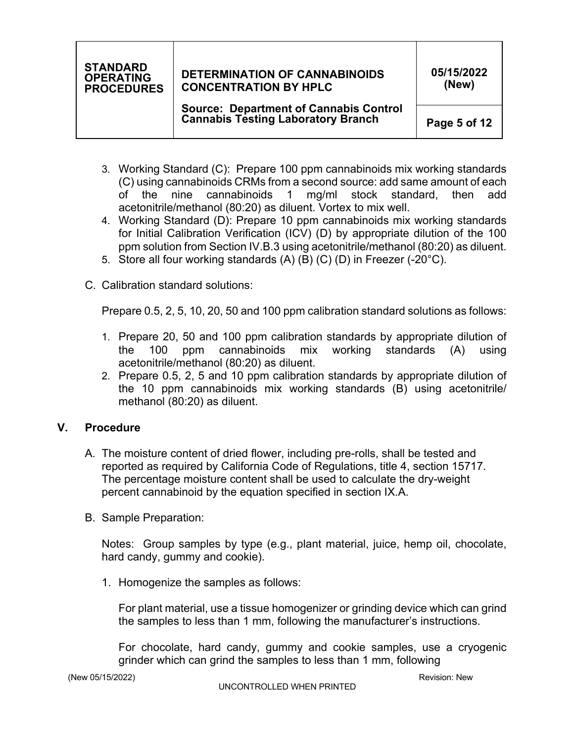# **DETERMINATION OF CANNABINOIDS CONCENTRATION BY HPLC**

**05/15/2022 (New)** 

 **Source: Department of Cannabis Control Cannabis Testing Laboratory Branch** 

**Page 5 of 12** 

- 3. Working Standard (C): Prepare 100 ppm cannabinoids mix working standards (C) using cannabinoids CRMs from a second source: add same amount of each of the nine cannabinoids 1 mg/ml stock standard, then add acetonitrile/methanol (80:20) as diluent. Vortex to mix well.
- 4. Working Standard (D): Prepare 10 ppm cannabinoids mix working standards for Initial Calibration Verification (ICV) (D) by appropriate dilution of the 100 ppm solution from Section IV.B.3 using acetonitrile/methanol (80:20) as diluent.
- 5. Store all four working standards (A) (B) (C) (D) in Freezer (-20°C).
- C. Calibration standard solutions:

Prepare 0.5, 2, 5, 10, 20, 50 and 100 ppm calibration standard solutions as follows:

- 1. Prepare 20, 50 and 100 ppm calibration standards by appropriate dilution of (A) using the 100 ppm cannabinoids mix working standards acetonitrile/methanol (80:20) as diluent.
- 2. Prepare 0.5, 2, 5 and 10 ppm calibration standards by appropriate dilution of the 10 ppm cannabinoids mix working standards (B) using acetonitrile/ methanol (80:20) as diluent.

# **V. Procedure**

- A. The moisture content of dried flower, including pre-rolls, shall be tested and reported as required by California Code of Regulations, title 4, section 15717. The percentage moisture content shall be used to calculate the dry-weight percent cannabinoid by the equation specified in section IX.A.
- B. Sample Preparation:

Notes: Group samples by type (e.g., plant material, juice, hemp oil, chocolate, hard candy, gummy and cookie).

1. Homogenize the samples as follows:

For plant material, use a tissue homogenizer or grinding device which can grind the samples to less than 1 mm, following the manufacturer's instructions.

For chocolate, hard candy, gummy and cookie samples, use a cryogenic grinder which can grind the samples to less than 1 mm , following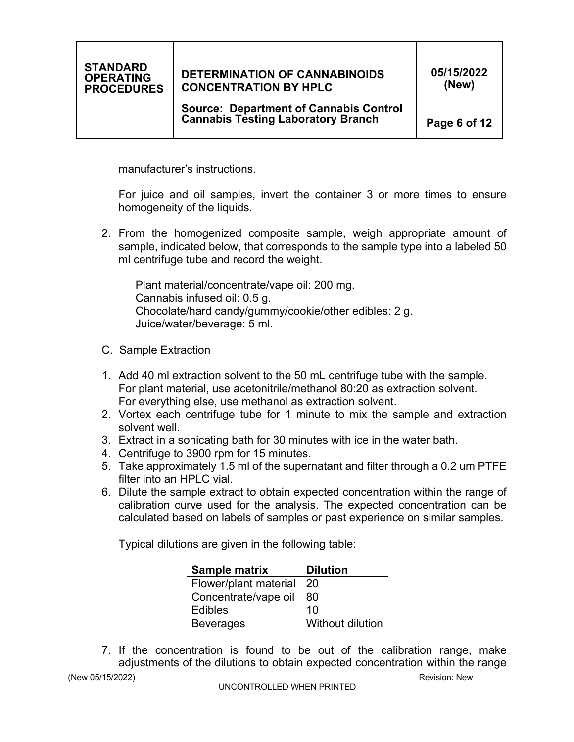# **DETERMINATION OF CANNABINOIDS CONCENTRATION BY HPLC**

 **Source: Department of Cannabis Control Cannabis Testing Laboratory Branch** 

**Page 6 of 12** 

manufacturer's instructions.<br>For juice and oil samples, invert the container 3 or more times to ensure homogeneity of the liquids.

 2. From the homogenized composite sample, weigh appropriate amount of sample, indicated below, that corresponds to the sample type into a labeled 50 ml centrifuge tube and record the weight.

 Plant material/concentrate/vape oil: 200 mg. Cannabis infused oil: 0.5 g. Chocolate/hard candy/gummy/cookie/other edibles: 2 g. Juice/water/beverage: 5 ml.

- C. Sample Extraction
- 1. Add 40 ml extraction solvent to the 50 mL centrifuge tube with the sample. For plant material, use acetonitrile/methanol 80:20 as extraction solvent. For everything else, use methanol as extraction solvent.
- 2. Vortex each centrifuge tube for 1 minute to mix the sample and extraction solvent well.
- 3. Extract in a sonicating bath for 30 minutes with ice in the water bath.
- 4. Centrifuge to 3900 rpm for 15 minutes.
- 5. Take approximately 1.5 ml of the supernatant and filter through a 0.2 um PTFE filter into an HPLC vial.
- 6. Dilute the sample extract to obtain expected concentration within the range of calibration curve used for the analysis. The expected concentration can be calculated based on labels of samples or past experience on similar samples.

Typical dilutions are given in the following table:

| <b>Sample matrix</b>  | <b>Dilution</b>  |  |  |  |
|-----------------------|------------------|--|--|--|
| Flower/plant material | 20               |  |  |  |
| Concentrate/vape oil  | 80               |  |  |  |
| <b>Edibles</b>        | 10               |  |  |  |
| <b>Beverages</b>      | Without dilution |  |  |  |

 7. If the concentration is found to be out of the calibration range, make adjustments of the dilutions to obtain expected concentration within the range

(New 05/15/2022) Revision: New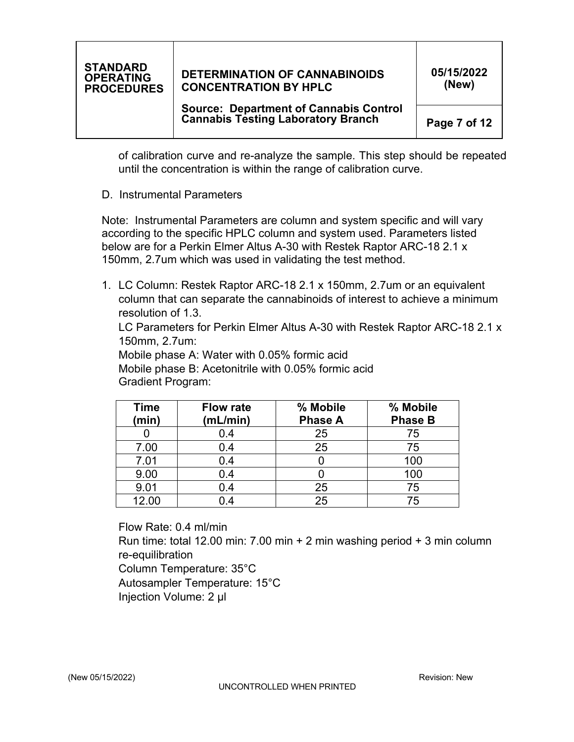# **DETERMINATION OF CANNABINOIDS CONCENTRATION BY HPLC**

**05/15/2022 (New)** 

 **Source: Department of Cannabis Control Cannabis Testing Laboratory Branch** 

**Page 7 of 12** 

 of calibration curve and re-analyze the sample. This step should be repeated until the concentration is within the range of calibration curve.

D. Instrumental Parameters

 Note: Instrumental Parameters are column and system specific and will vary according to the specific HPLC column and system used. Parameters listed below are for a Perkin Elmer Altus A-30 with Restek Raptor ARC-18 2.1 x 150mm, 2.7um which was used in validating the test method.

 1. LC Column: Restek Raptor ARC-18 2.1 x 150mm, 2.7um or an equivalent column that can separate the cannabinoids of interest to achieve a minimum resolution of 1.3.

 LC Parameters for Perkin Elmer Altus A-30 with Restek Raptor ARC-18 2.1 x 150mm, 2.7um:

Mobile phase A: Water with 0.05% formic acid

 Mobile phase B: Acetonitrile with 0.05% formic acid Gradient Program:

| <b>Time</b><br>(min) | % Mobile<br><b>Flow rate</b><br>(mL/min)<br><b>Phase A</b> |    | % Mobile<br><b>Phase B</b> |  |  |
|----------------------|------------------------------------------------------------|----|----------------------------|--|--|
|                      | 0.4                                                        | 25 | 75                         |  |  |
| 7.00                 | 0.4                                                        | 25 | 75                         |  |  |
| 7.01                 | 0.4                                                        |    | 100                        |  |  |
| 9.00                 | 0.4                                                        |    | 100                        |  |  |
| 9.01                 | 0.4                                                        | 25 | 75                         |  |  |
| 12.00                | 0.4                                                        | 25 | 75                         |  |  |

 Flow Rate: 0.4 ml/min Run time: total 12.00 min: 7.00 min + 2 min washing period + 3 min column re-equilibration re-equilibration<br>Column Temperature: 35°C Autosampler Temperature: 15°C Injection Volume: 2 µl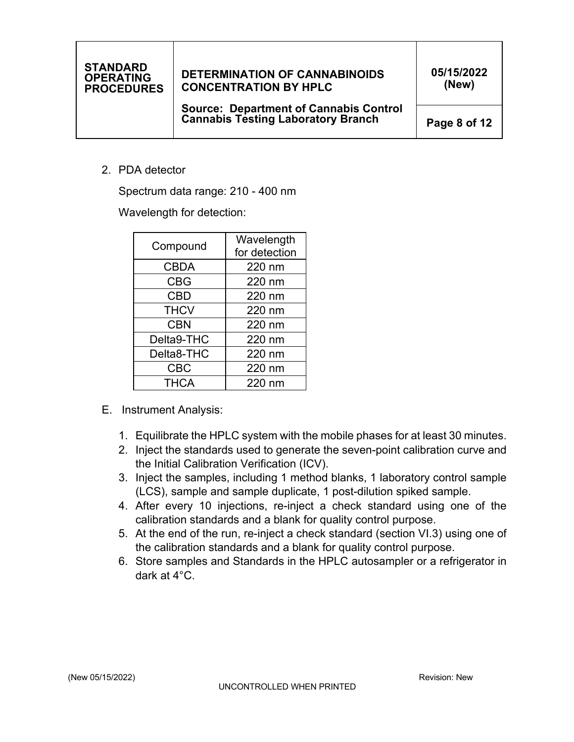# **DETERMINATION OF CANNABINOIDS CONCENTRATION BY HPLC**

 **Source: Department of Cannabis Control Cannabis Testing Laboratory Branch** 

**05/15/2022 (New)** 

**Page 8 of 12** 

2. PDA detector

Spectrum data range: 210 - 400 nm

Wavelength for detection:

| Compound    | Wavelength<br>for detection |  |  |  |
|-------------|-----------------------------|--|--|--|
| <b>CBDA</b> | 220 nm                      |  |  |  |
| <b>CBG</b>  | 220 nm                      |  |  |  |
| <b>CBD</b>  | 220 nm                      |  |  |  |
| <b>THCV</b> | 220 nm                      |  |  |  |
| <b>CBN</b>  | 220 nm                      |  |  |  |
| Delta9-THC  | 220 nm                      |  |  |  |
| Delta8-THC  | 220 nm                      |  |  |  |
| <b>CBC</b>  | 220 nm                      |  |  |  |
| <b>THCA</b> | 220 nm                      |  |  |  |

- E. Instrument Analysis:
	- 1. Equilibrate the HPLC system with the mobile phases for at least 30 minutes.
	- 2. Inject the standards used to generate the seven-point calibration curve and the Initial Calibration Verification (ICV).
	- 3. Inject the samples, including 1 method blanks, 1 laboratory control sample (LCS), sample and sample duplicate, 1 post-dilution spiked sample.
	- 4. After every 10 injections, re-inject a check standard using one of the calibration standards and a blank for quality control purpose.
	- 5. At the end of the run, re-inject a check standard (section VI.3) using one of the calibration standards and a blank for quality control purpose.
	- 6. Store samples and Standards in the HPLC autosampler or a refrigerator in dark at 4°C.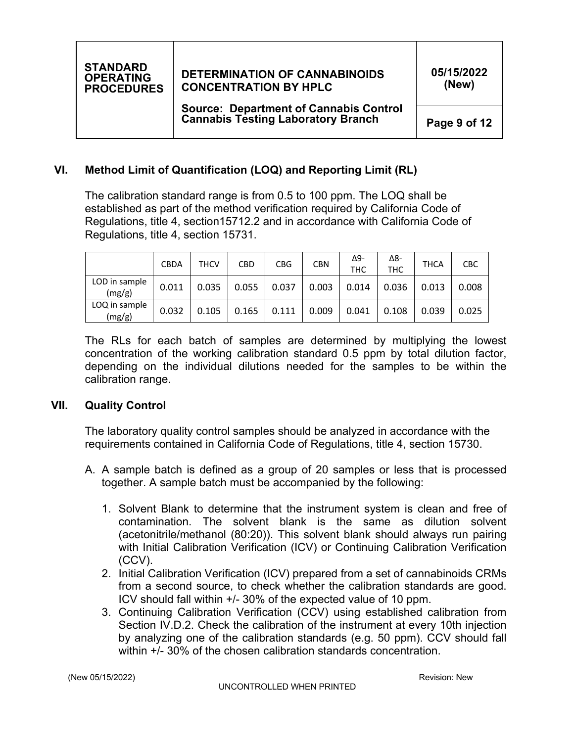

# **VI. Method Limit of Quantification (LOQ) and Reporting Limit (RL)**

The calibration standard range is from 0.5 to 100 ppm. The LOQ shall be established as part of the method verification required by California Code of Regulations, title 4, section 15712.2 and in accordance with California Code of Regulations, title 4, section 15731.

|                         | <b>CBDA</b> | THCV  | <b>CBD</b> | <b>CBG</b> | <b>CBN</b> | Δ9-<br><b>THC</b> | Δ8-<br><b>THC</b> | <b>THCA</b> | <b>CBC</b> |
|-------------------------|-------------|-------|------------|------------|------------|-------------------|-------------------|-------------|------------|
| LOD in sample<br>(mg/g) | 0.011       | 0.035 | 0.055      | 0.037      | 0.003      | 0.014             | 0.036             | 0.013       | 0.008      |
| LOQ in sample<br>(mg/g) | 0.032       | 0.105 | 0.165      | 0.111      | 0.009      | 0.041             | 0.108             | 0.039       | 0.025      |

 The RLs for each batch of samples are determined by multiplying the lowest concentration of the working calibration standard 0.5 ppm by total dilution factor, depending on the individual dilutions needed for the samples to be within the calibration range.

#### **VII. Quality Control**

 The laboratory quality control samples should be analyzed in accordance with the requirements contained in California Code of Regulations, title 4, section 15730.

- A. A sample batch is defined as a group of 20 samples or less that is processed together. A sample batch must be accompanied by the following:
	- 1. Solvent Blank to determine that the instrument system is clean and free of contamination. The solvent blank is the same as dilution solvent (acetonitrile/methanol (80:20)). This solvent blank should always run pairing with Initial Calibration Verification (ICV) or Continuing Calibration Verification (CCV).
	- 2. Initial Calibration Verification (ICV) prepared from a set of cannabinoids CRMs from a second source, to check whether the calibration standards are good. ICV should fall within +/- 30% of the expected value of 10 ppm.
	- 3. Continuing Calibration Verification (CCV) using established calibration from Section IV.D.2. Check the calibration of the instrument at every 10th injection by analyzing one of the calibration standards (e.g. 50 ppm). CCV should fall within +/- 30% of the chosen calibration standards concentration.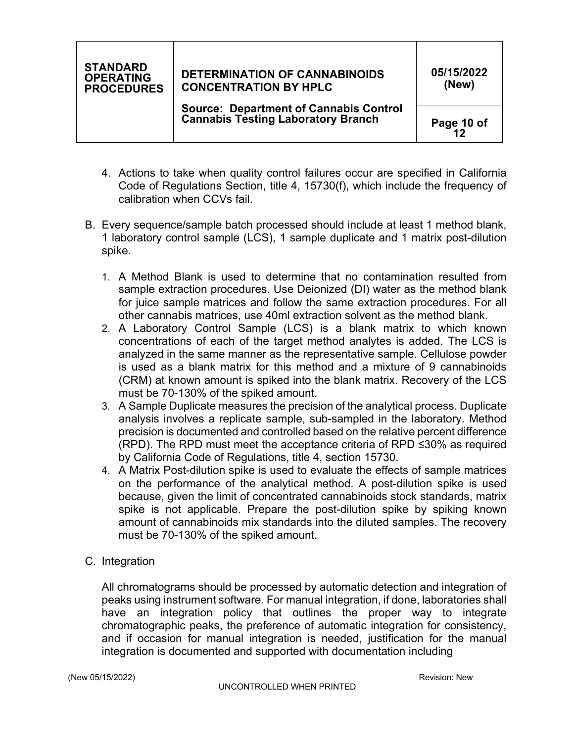# **DETERMINATION OF CANNABINOIDS CONCENTRATION BY HPLC**

**05/15/2022 (New)** 

**Page 10 of 12** 

- 4. Actions to take when quality control failures occur are specified in California Code of Regulations Section, title 4, 15730(f), which include the frequency of calibration when CCVs fail.
- B. Every sequence/sample batch processed should include at least 1 method blank, 1 laboratory control sample (LCS), 1 sample duplicate and 1 matrix post-dilution spike.
	- 1. A Method Blank is used to determine that no contamination resulted from sample extraction procedures. Use Deionized (DI) water as the method blank for juice sample matrices and follow the same extraction procedures. For all other cannabis matrices, use 40ml extraction solvent as the method blank.
	- 2. A Laboratory Control Sample (LCS) is a blank matrix to which known concentrations of each of the target method analytes is added. The LCS is analyzed in the same manner as the representative sample. Cellulose powder is used as a blank matrix for this method and a mixture of 9 cannabinoids (CRM) at known amount is spiked into the blank matrix. Recovery of the LCS must be 70-130% of the spiked amount.
	- 3. A Sample Duplicate measures the precision of the analytical process. Duplicate analysis involves a replicate sample, sub-sampled in the laboratory. Method precision is documented and controlled based on the relative percent difference (RPD). The RPD must meet the acceptance criteria of RPD ≤30% as required by California Code of Regulations, title 4, section 15730.
	- 4. A Matrix Post-dilution spike is used to evaluate the effects of sample matrices on the performance of the analytical method. A post-dilution spike is used because, given the limit of concentrated cannabinoids stock standards, matrix spike is not applicable. Prepare the post-dilution spike by spiking known amount of cannabinoids mix standards into the diluted samples. The recovery must be 70-130% of the spiked amount.
- C. Integration

All chromatograms should be processed by automatic detection and integration of peaks using instrument software. For manual integration, if done, laboratories shall have an integration policy that outlines the proper way to integrate chromatographic peaks, the preference of automatic integration for consistency, and if occasion for manual integration is needed, justification for the manual integration is documented and supported with documentation including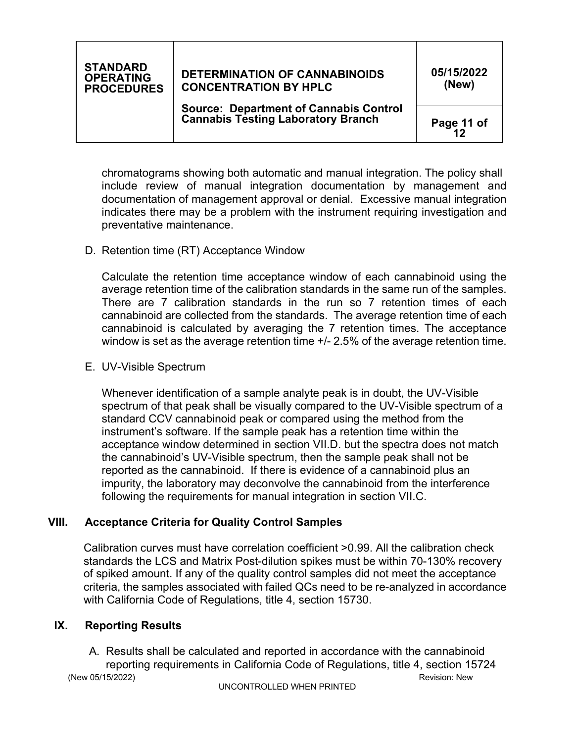# **DETERMINATION OF CANNABINOIDS CONCENTRATION BY HPLC**

**05/15/2022 (New)** 

 **Source: Department of Cannabis Control Cannabis Testing Laboratory Branch** 

**Page 11 of 12** 

 chromatograms showing both automatic and manual integration. The policy shall include review of manual integration documentation by management and documentation of management approval or denial. Excessive manual integration indicates there may be a problem with the instrument requiring investigation and preventative maintenance.

D. Retention time (RT) Acceptance Window

 Calculate the retention time acceptance window of each cannabinoid using the average retention time of the calibration standards in the same run of the samples. There are 7 calibration standards in the run so 7 retention times of each cannabinoid are collected from the standards. The average retention time of each cannabinoid is calculated by averaging the 7 retention times. The acceptance window is set as the average retention time +/- 2.5% of the average retention time.

E. UV-Visible Spectrum

 Whenever identification of a sample analyte peak is in doubt, the UV-Visible spectrum of that peak shall be visually compared to the UV-Visible spectrum of a standard CCV cannabinoid peak or compared using the method from the instrument's software. If the sample peak has a retention time within the acceptance window determined in section VII.D. but the spectra does not match following the requirements for manual integration in section VII.C. the cannabinoid's UV-Visible spectrum, then the sample peak shall not be reported as the cannabinoid. If there is evidence of a cannabinoid plus an impurity, the laboratory may deconvolve the cannabinoid from the interference

# **VIII. Acceptance Criteria for Quality Control Samples**

Calibration curves must have correlation coefficient >0.99. All the calibration check standards the LCS and Matrix Post-dilution spikes must be within 70-130% recovery of spiked amount. If any of the quality control samples did not meet the acceptance criteria, the samples associated with failed QCs need to be re-analyzed in accordance with California Code of Regulations, title 4, section 15730.

# **IX. Reporting Results**

(New 05/15/2022) Revision: New 05/15/2022) A. Results shall be calculated and reported in accordance with the cannabinoid reporting requirements in California Code of Regulations, title 4, section 15724